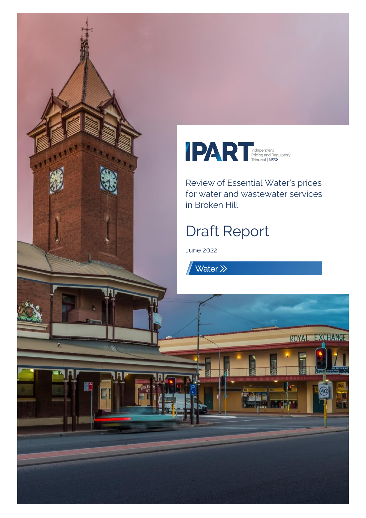



Review of Essential Water's prices for water and wastewater services in Broken Hill

ROYAL EXCHANGE

# Draft Report

June 2022

Water >>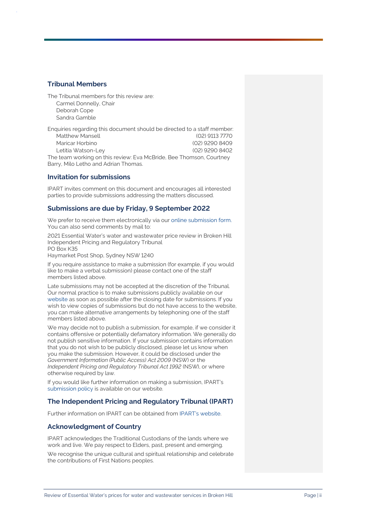#### **Tribunal Members**

The Tribunal members for this review are: Carmel Donnelly, Chair Deborah Cope Sandra Gamble

Enquiries regarding this document should be directed to a staff member: Matthew Mansell (02) 9113 7770 Maricar Horbino (02) 9290 8409 Letitia Watson-Ley (02) 9290 8402 The team working on this review: Eva McBride, Bee Thomson, Courtney Barry, Milo Letho and Adrian Thomas.

#### **Invitation for submissions**

IPART invites comment on this document and encourages all interested parties to provide submissions addressing the matters discussed.

#### **Submissions are due by Friday, 9 September 2022**

We prefer to receive them electronically via ou[r online submission form.](https://www.ipart.nsw.gov.au/Home/Reviews/Have-Your-Say-Open-Consultations?review_status=911) You can also send comments by mail to:

2021 Essential Water's water and wastewater price review in Broken Hill Independent Pricing and Regulatory Tribunal PO Box K35

Haymarket Post Shop, Sydney NSW 1240

If you require assistance to make a submission (for example, if you would like to make a verbal submission) please contact one of the staff members listed above.

Late submissions may not be accepted at the discretion of the Tribunal. Our normal practice is to make submissions publicly available on our [website](http://www.ipart.nsw.gov.au/) as soon as possible after the closing date for submissions. If you wish to view copies of submissions but do not have access to the website, you can make alternative arrangements by telephoning one of the staff members listed above.

We may decide not to publish a submission, for example, if we consider it contains offensive or potentially defamatory information. We generally do not publish sensitive information. If your submission contains information that you do not wish to be publicly disclosed, please let us know when you make the submission. However, it could be disclosed under the *Government Information (Public Access) Act 2009* (NSW) or the *Independent Pricing and Regulatory Tribunal Act 1992* (NSW), or where otherwise required by law.

If you would like further information on making a submission, IPART's [submission policy](https://www.ipart.nsw.gov.au/submissions-policy) is available on our website.

### **The Independent Pricing and Regulatory Tribunal (IPART)**

Further information on IPART can be obtained from [IPART's website.](https://www.ipart.nsw.gov.au/Home)

### **Acknowledgment of Country**

IPART acknowledges the Traditional Custodians of the lands where we work and live. We pay respect to Elders, past, present and emerging.

We recognise the unique cultural and spiritual relationship and celebrate the contributions of First Nations peoples.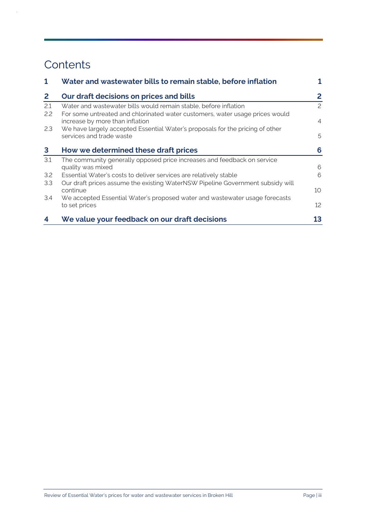## **Contents**

 $\hat{\boldsymbol{\beta}}$ 

| 1            | Water and wastewater bills to remain stable, before inflation                                                                                    |                |
|--------------|--------------------------------------------------------------------------------------------------------------------------------------------------|----------------|
| $\mathbf{2}$ | Our draft decisions on prices and bills                                                                                                          | 2              |
| 2.1<br>2.2   | Water and wastewater bills would remain stable, before inflation<br>For some untreated and chlorinated water customers, water usage prices would | $\mathcal{P}$  |
|              | increase by more than inflation                                                                                                                  | $\overline{4}$ |
| 2.3          | We have largely accepted Essential Water's proposals for the pricing of other                                                                    |                |
|              | services and trade waste                                                                                                                         | 5              |
| 3            | How we determined these draft prices                                                                                                             | 6              |
| 3.1          | The community generally opposed price increases and feedback on service                                                                          |                |
|              | quality was mixed                                                                                                                                | 6              |
| 3.2          | Essential Water's costs to deliver services are relatively stable                                                                                | 6              |
| 3.3          | Our draft prices assume the existing WaterNSW Pipeline Government subsidy will<br>continue                                                       | 10             |
| 3.4          | We accepted Essential Water's proposed water and wastewater usage forecasts                                                                      |                |
|              | to set prices                                                                                                                                    | 12             |
| 4            | We value your feedback on our draft decisions                                                                                                    | 13             |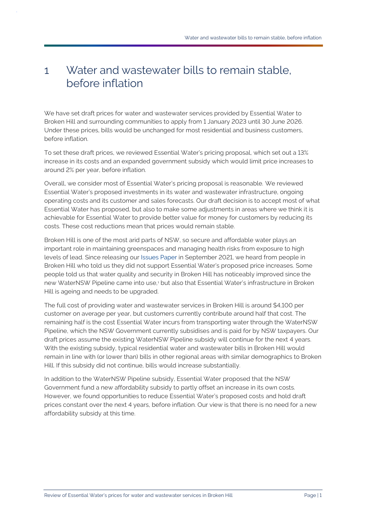## <span id="page-3-0"></span>1 Water and wastewater bills to remain stable, before inflation

We have set draft prices for water and wastewater services provided by Essential Water to Broken Hill and surrounding communities to apply from 1 January 2023 until 30 June 2026. Under these prices, bills would be unchanged for most residential and business customers, before inflation.

To set these draft prices, we reviewed Essential Water's pricing proposal, which set out a 13% increase in its costs and an expanded government subsidy which would limit price increases to around 2% per year, before inflation.

Overall, we consider most of Essential Water's pricing proposal is reasonable. We reviewed Essential Water's proposed investments in its water and wastewater infrastructure, ongoing operating costs and its customer and sales forecasts. Our draft decision is to accept most of what Essential Water has proposed, but also to make some adjustments in areas where we think it is achievable for Essential Water to provide better value for money for customers by reducing its costs. These cost reductions mean that prices would remain stable.

Broken Hill is one of the most arid parts of NSW, so secure and affordable water plays an important role in maintaining greenspaces and managing health risks from exposure to high levels of lead. Since releasing our [Issues Paper](https://www.ipart.nsw.gov.au/documents/issues-paper/issues-paper-2021-review-essential-energys-water-and-wastewater-prices-broken-hill-september-2021?timeline_id=13465) in September 2021, we heard from people in Broken Hill who told us they did not support Essential Water's proposed price increases. Some people told us that water quality and security in Broken Hill has noticeably improved since the new WaterNSW Pipeline came into use,<sup>1</sup> but also that Essential Water's infrastructure in Broken Hill is ageing and needs to be upgraded.

The full cost of providing water and wastewater services in Broken Hill is around \$4,100 per customer on average per year, but customers currently contribute around half that cost. The remaining half is the cost Essential Water incurs from transporting water through the WaterNSW Pipeline, which the NSW Government currently subsidises and is paid for by NSW taxpayers. Our draft prices assume the existing WaterNSW Pipeline subsidy will continue for the next 4 years. With the existing subsidy, typical residential water and wastewater bills in Broken Hill would remain in line with (or lower than) bills in other regional areas with similar demographics to Broken Hill. If this subsidy did not continue, bills would increase substantially.

In addition to the WaterNSW Pipeline subsidy, Essential Water proposed that the NSW Government fund a new affordability subsidy to partly offset an increase in its own costs. However, we found opportunities to reduce Essential Water's proposed costs and hold draft prices constant over the next 4 years, before inflation. Our view is that there is no need for a new affordability subsidy at this time.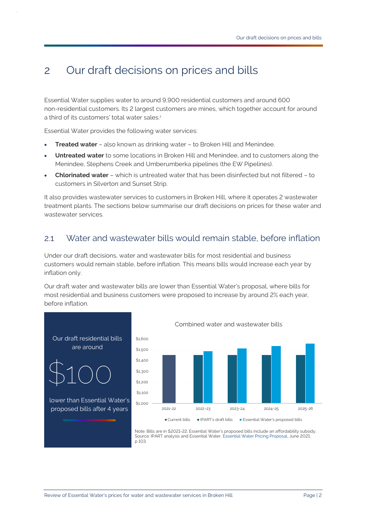## <span id="page-4-0"></span>2 Our draft decisions on prices and bills

Essential Water supplies water to around 9,900 residential customers and around 600 non-residential customers. Its 2 largest customers are mines, which together account for around a third of its customers' total water sales. 2

Essential Water provides the following water services:

- **Treated water** also known as drinking water to Broken Hill and Menindee.
- **Untreated water** to some locations in Broken Hill and Menindee, and to customers along the Menindee, Stephens Creek and Umberumberka pipelines (the EW Pipelines).
- **Chlorinated water** which is untreated water that has been disinfected but not filtered to customers in Silverton and Sunset Strip.

It also provides wastewater services to customers in Broken Hill, where it operates 2 wastewater treatment plants. The sections below summarise our draft decisions on prices for these water and wastewater services.

### <span id="page-4-1"></span>2.1 Water and wastewater bills would remain stable, before inflation

Under our draft decisions, water and wastewater bills for most residential and business customers would remain stable, before inflation. This means bills would increase each year by inflation only.

Our draft water and wastewater bills are lower than Essential Water's proposal, where bills for most residential and business customers were proposed to increase by around 2% each year, before inflation.



Combined water and wastewater bills

Source: IPART analysis and Essential Water, [Essential Water Pricing Proposal,](https://www.ipart.nsw.gov.au/sites/default/files/cm9_documents/Pricing-Proposal-by-Essential-Water-June-2021.PDF) June 2021, p 103.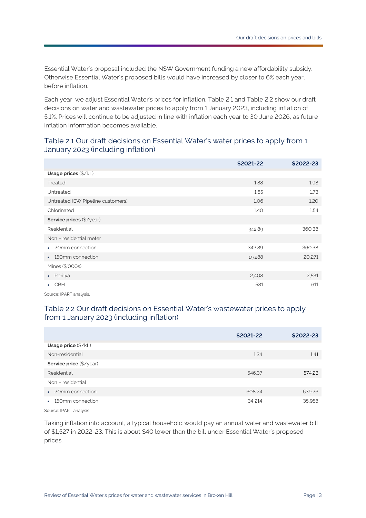Essential Water's proposal included the NSW Government funding a new affordability subsidy. Otherwise Essential Water's proposed bills would have increased by closer to 6% each year, before inflation.

Each year, we adjust Essential Water's prices for inflation. [Table 2.1](#page-5-1) and [Table 2.2](#page-5-2) show our draft decisions on water and wastewater prices to apply from 1 January 2023, including inflation of 5.1%. Prices will continue to be adjusted in line with inflation each year to 30 June 2026, as future inflation information becomes available.

### <span id="page-5-1"></span>Table 2.1 Our draft decisions on Essential Water's water prices to apply from 1 January 2023 (including inflation)

|                                   | \$2021-22 | \$2022-23 |  |  |
|-----------------------------------|-----------|-----------|--|--|
| Usage prices (\$/kL)              |           |           |  |  |
| Treated                           | 1.88      | 1.98      |  |  |
| Untreated                         | 1.65      | 1.73      |  |  |
| Untreated (EW Pipeline customers) | 1.06      | 1.20      |  |  |
| Chlorinated                       | 1.40      | 1.54      |  |  |
| Service prices (\$/year)          |           |           |  |  |
| Residential                       | 342.89    | 360.38    |  |  |
| Non - residential meter           |           |           |  |  |
| • 20mm connection                 | 342.89    | 360.38    |  |  |
| 150mm connection<br>$\bullet$     | 19,288    | 20,271    |  |  |
| Mines (\$'000s)                   |           |           |  |  |
| Perilya<br>$\bullet$ .            | 2,408     | 2,531     |  |  |
| <b>CBH</b>                        | 581       | 611       |  |  |

Source: IPART analysis.

### <span id="page-5-2"></span>Table 2.2 Our draft decisions on Essential Water's wastewater prices to apply from 1 January 2023 (including inflation)

|                              | \$2021-22 | \$2022-23 |
|------------------------------|-----------|-----------|
| Usage price (\$/kL)          |           |           |
| Non-residential              | 1.34      | 1.41      |
| Service price (\$/year)      |           |           |
| Residential                  | 546.37    | 574.23    |
| Non - residential            |           |           |
| 20mm connection<br>$\bullet$ | 608.24    | 639.26    |
| 150mm connection             | 34,214    | 35,958    |

Source: IPART analysis

<span id="page-5-0"></span>Taking inflation into account, a typical household would pay an annual water and wastewater bill of \$1,527 in 2022-23. This is about \$40 lower than the bill under Essential Water's proposed prices.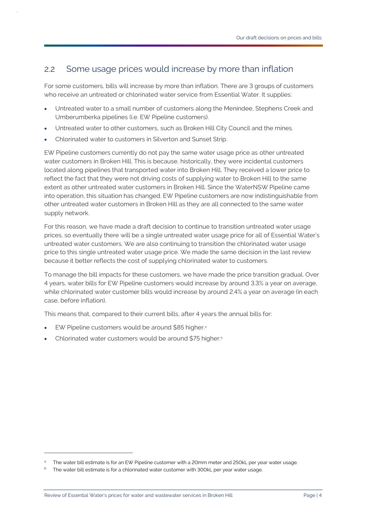## 2.2 Some usage prices would increase by more than inflation

For some customers, bills will increase by more than inflation. There are 3 groups of customers who receive an untreated or chlorinated water service from Essential Water. It supplies:

- Untreated water to a small number of customers along the Menindee, Stephens Creek and Umberumberka pipelines (i.e. EW Pipeline customers).
- Untreated water to other customers, such as Broken Hill City Council and the mines.
- Chlorinated water to customers in Silverton and Sunset Strip.

EW Pipeline customers currently do not pay the same water usage price as other untreated water customers in Broken Hill. This is because, historically, they were incidental customers located along pipelines that transported water into Broken Hill. They received a lower price to reflect the fact that they were not driving costs of supplying water to Broken Hill to the same extent as other untreated water customers in Broken Hill. Since the WaterNSW Pipeline came into operation, this situation has changed. EW Pipeline customers are now indistinguishable from other untreated water customers in Broken Hill as they are all connected to the same water supply network.

For this reason, we have made a draft decision to continue to transition untreated water usage prices, so eventually there will be a single untreated water usage price for all of Essential Water's untreated water customers. We are also continuing to transition the chlorinated water usage price to this single untreated water usage price. We made the same decision in the last review because it better reflects the cost of supplying chlorinated water to customers.

To manage the bill impacts for these customers, we have made the price transition gradual. Over 4 years, water bills for EW Pipeline customers would increase by around 3.3% a year on average, while chlorinated water customer bills would increase by around 2.4% a year on average (in each case, before inflation).

This means that, compared to their current bills, after 4 years the annual bills for:

- EW Pipeline customers would be around \$85 higher.
- Chlorinated water customers would be around \$75 higher.<sup>b</sup>

The water bill estimate is for an EW Pipeline customer with a 20mm meter and 250kL per year water usage.

The water bill estimate is for a chlorinated water customer with 300kL per year water usage.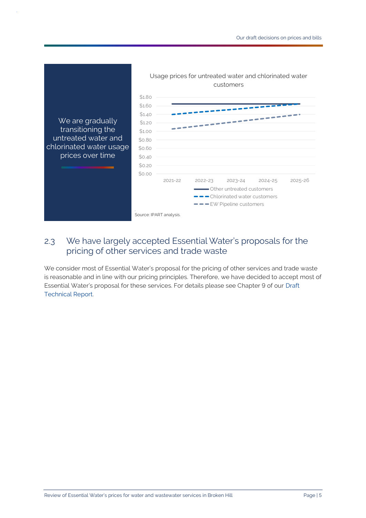

## <span id="page-7-0"></span>2.3 We have largely accepted Essential Water's proposals for the pricing of other services and trade waste

We consider most of Essential Water's proposal for the pricing of other services and trade waste is reasonable and in line with our pricing principles. Therefore, we have decided to accept most of Essential Water's proposal for these services. For details please see Chapter 9 of our [Draft](https://www.ipart.nsw.gov.au/sites/default/files/cm9_documents/Draft-Technical-Report-Review-of-Essential-Waters-prices-for-water-and-wastewater-services-in-Broken-Hill-June-2022.PDF)  [Technical Report.](https://www.ipart.nsw.gov.au/sites/default/files/cm9_documents/Draft-Technical-Report-Review-of-Essential-Waters-prices-for-water-and-wastewater-services-in-Broken-Hill-June-2022.PDF)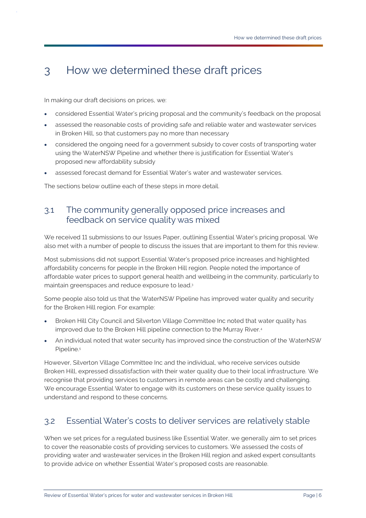## <span id="page-8-0"></span>3 How we determined these draft prices

In making our draft decisions on prices, we:

- considered Essential Water's pricing proposal and the community's feedback on the proposal
- assessed the reasonable costs of providing safe and reliable water and wastewater services in Broken Hill, so that customers pay no more than necessary
- considered the ongoing need for a government subsidy to cover costs of transporting water using the WaterNSW Pipeline and whether there is justification for Essential Water's proposed new affordability subsidy
- assessed forecast demand for Essential Water's water and wastewater services.

The sections below outline each of these steps in more detail.

## <span id="page-8-1"></span>3.1 The community generally opposed price increases and feedback on service quality was mixed

We received 11 submissions to our Issues Paper, outlining Essential Water's pricing proposal. We also met with a number of people to discuss the issues that are important to them for this review.

Most submissions did not support Essential Water's proposed price increases and highlighted affordability concerns for people in the Broken Hill region. People noted the importance of affordable water prices to support general health and wellbeing in the community, particularly to maintain greenspaces and reduce exposure to lead. 3

Some people also told us that the WaterNSW Pipeline has improved water quality and security for the Broken Hill region. For example:

- Broken Hill City Council and Silverton Village Committee Inc noted that water quality has improved due to the Broken Hill pipeline connection to the Murray River.<sup>4</sup>
- An individual noted that water security has improved since the construction of the WaterNSW Pipeline.<sup>5</sup>

However, Silverton Village Committee Inc and the individual, who receive services outside Broken Hill, expressed dissatisfaction with their water quality due to their local infrastructure. We recognise that providing services to customers in remote areas can be costly and challenging. We encourage Essential Water to engage with its customers on these service quality issues to understand and respond to these concerns.

## <span id="page-8-2"></span>3.2 Essential Water's costs to deliver services are relatively stable

When we set prices for a regulated business like Essential Water, we generally aim to set prices to cover the reasonable costs of providing services to customers. We assessed the costs of providing water and wastewater services in the Broken Hill region and asked expert consultants to provide advice on whether Essential Water's proposed costs are reasonable.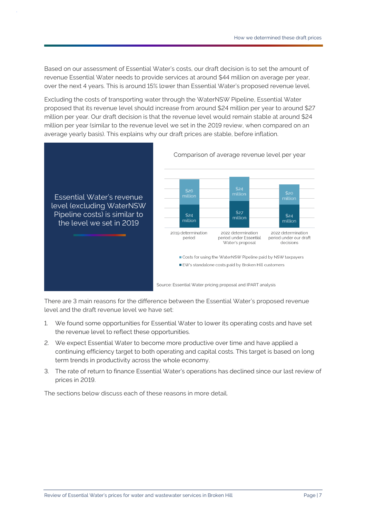Based on our assessment of Essential Water's costs, our draft decision is to set the amount of revenue Essential Water needs to provide services at around \$44 million on average per year, over the next 4 years. This is around 15% lower than Essential Water's proposed revenue level.

Excluding the costs of transporting water through the WaterNSW Pipeline, Essential Water proposed that its revenue level should increase from around \$24 million per year to around \$27 million per year. Our draft decision is that the revenue level would remain stable at around \$24 million per year (similar to the revenue level we set in the 2019 review, when compared on an average yearly basis). This explains why our draft prices are stable, before inflation.



There are 3 main reasons for the difference between the Essential Water's proposed revenue level and the draft revenue level we have set:

- 1. We found some opportunities for Essential Water to lower its operating costs and have set the revenue level to reflect these opportunities.
- 2. We expect Essential Water to become more productive over time and have applied a continuing efficiency target to both operating and capital costs. This target is based on long term trends in productivity across the whole economy.
- 3. The rate of return to finance Essential Water's operations has declined since our last review of prices in 2019.

The sections below discuss each of these reasons in more detail.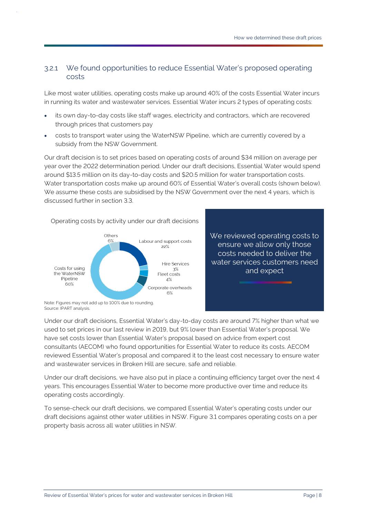### 3.2.1 We found opportunities to reduce Essential Water's proposed operating costs

Like most water utilities, operating costs make up around 40% of the costs Essential Water incurs in running its water and wastewater services. Essential Water incurs 2 types of operating costs:

- its own day-to-day costs like staff wages, electricity and contractors, which are recovered through prices that customers pay
- costs to transport water using the WaterNSW Pipeline, which are currently covered by a subsidy from the NSW Government.

Our draft decision is to set prices based on operating costs of around \$34 million on average per year over the 2022 determination period. Under our draft decisions, Essential Water would spend around \$13.5 million on its day-to-day costs and \$20.5 million for water transportation costs. Water transportation costs make up around 60% of Essential Water's overall costs (shown below). We assume these costs are subsidised by the NSW Government over the next 4 years, which is discussed further in section [3.3.](#page-12-0)



Operating costs by activity under our draft decisions

We reviewed operating costs to ensure we allow only those costs needed to deliver the water services customers need and expect

Note: Figures may not add up to 100% due to rounding. Source: IPART analysis.

Under our draft decisions, Essential Water's day-to-day costs are around 7% higher than what we used to set prices in our last review in 2019, but 9% lower than Essential Water's proposal. We have set costs lower than Essential Water's proposal based on advice from expert cost consultants (AECOM) who found opportunities for Essential Water to reduce its costs. AECOM reviewed Essential Water's proposal and compared it to the least cost necessary to ensure water and wastewater services in Broken Hill are secure, safe and reliable.

Under our draft decisions, we have also put in place a continuing efficiency target over the next 4 years. This encourages Essential Water to become more productive over time and reduce its operating costs accordingly.

To sense-check our draft decisions, we compared Essential Water's operating costs under our draft decisions against other water utilities in NSW[. Figure 3.1](#page-11-0) compares operating costs on a per property basis across all water utilities in NSW.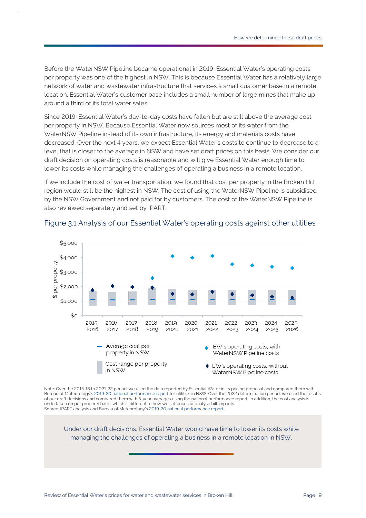Before the WaterNSW Pipeline became operational in 2019, Essential Water's operating costs per property was one of the highest in NSW. This is because Essential Water has a relatively large network of water and wastewater infrastructure that services a small customer base in a remote location. Essential Water's customer base includes a small number of large mines that make up around a third of its total water sales.

Since 2019, Essential Water's day-to-day costs have fallen but are still above the average cost per property in NSW. Because Essential Water now sources most of its water from the WaterNSW Pipeline instead of its own infrastructure, its energy and materials costs have decreased. Over the next 4 years, we expect Essential Water's costs to continue to decrease to a level that is closer to the average in NSW and have set draft prices on this basis. We consider our draft decision on operating costs is reasonable and will give Essential Water enough time to lower its costs while managing the challenges of operating a business in a remote location.

If we include the cost of water transportation, we found that cost per property in the Broken Hill region would still be the highest in NSW. The cost of using the WaterNSW Pipeline is subsidised by the NSW Government and not paid for by customers. The cost of the WaterNSW Pipeline is also reviewed separately and set by IPART.



#### <span id="page-11-0"></span>Figure 3.1 Analysis of our Essential Water's operating costs against other utilities

Note: Over the 2015-16 to 2021-22 period, we used the data reported by Essential Water in its pricing proposal and compared them with Bureau of Meteorology'[s 2019-20 national performance report](http://www.bom.gov.au/water/npr/npr_2019-20.shtml) for utilities in NSW. Over the 2022 determination period, we used the results of our draft decisions and compared them with 5-year averages using the national performance report. In addition, the cost analysis is undertaken on per property basis, which is different to how we set prices or analyse bill impacts. Source: IPART analysis and Bureau of Meteorology's [2019-20 national performance report.](http://www.bom.gov.au/water/npr/npr_2019-20.shtml)

Under our draft decisions, Essential Water would have time to lower its costs while managing the challenges of operating a business in a remote location in NSW.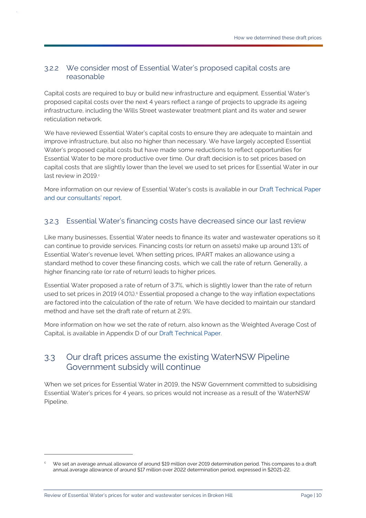### 3.2.2 We consider most of Essential Water's proposed capital costs are reasonable

Capital costs are required to buy or build new infrastructure and equipment. Essential Water's proposed capital costs over the next 4 years reflect a range of projects to upgrade its ageing infrastructure, including the Wills Street wastewater treatment plant and its water and sewer reticulation network.

We have reviewed Essential Water's capital costs to ensure they are adequate to maintain and improve infrastructure, but also no higher than necessary. We have largely accepted Essential Water's proposed capital costs but have made some reductions to reflect opportunities for Essential Water to be more productive over time. Our draft decision is to set prices based on capital costs that are slightly lower than the level we used to set prices for Essential Water in our last review in 2019.c

More information on our review of Essential Water's costs is available in our [Draft Technical Paper](https://www.ipart.nsw.gov.au/sites/default/files/cm9_documents/Draft-Technical-Report-Review-of-Essential-Waters-prices-for-water-and-wastewater-services-in-Broken-Hill-June-2022.PDF)  and [our consultants' report.](https://www.ipart.nsw.gov.au/sites/default/files/cm9_documents/Draft-Technical-Report-Review-of-Essential-Waters-prices-for-water-and-wastewater-services-in-Broken-Hill-June-2022.PDF)

### 3.2.3 Essential Water's financing costs have decreased since our last review

Like many businesses, Essential Water needs to finance its water and wastewater operations so it can continue to provide services. Financing costs (or return on assets) make up around 13% of Essential Water's revenue level. When setting prices, IPART makes an allowance using a standard method to cover these financing costs, which we call the rate of return. Generally, a higher financing rate (or rate of return) leads to higher prices.

Essential Water proposed a rate of return of 3.7%, which is slightly lower than the rate of return used to set prices in 2019 (4.0%). <sup>6</sup> Essential proposed a change to the way inflation expectations are factored into the calculation of the rate of return. We have decided to maintain our standard method and have set the draft rate of return at 2.9%.

More information on how we set the rate of return, also known as the Weighted Average Cost of Capital, is available in Appendix D of our [Draft Technical Paper.](https://www.ipart.nsw.gov.au/sites/default/files/cm9_documents/Draft-Technical-Report-Review-of-Essential-Waters-prices-for-water-and-wastewater-services-in-Broken-Hill-June-2022.PDF)

### <span id="page-12-0"></span>3.3 Our draft prices assume the existing WaterNSW Pipeline Government subsidy will continue

When we set prices for Essential Water in 2019, the NSW Government committed to subsidising Essential Water's prices for 4 years, so prices would not increase as a result of the WaterNSW Pipeline.

We set an average annual allowance of around \$19 million over 2019 determination period. This compares to a draft annual average allowance of around \$17 million over 2022 determination period, expressed in \$2021-22.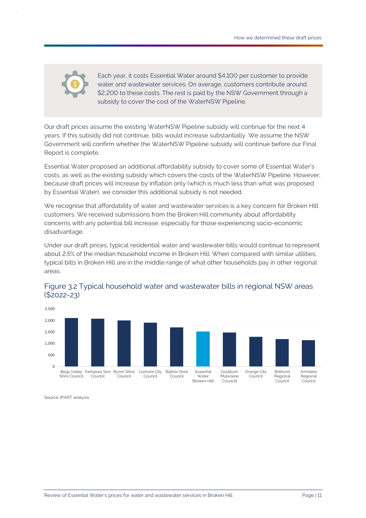

Each year, it costs Essential Water around \$4,100 per customer to provide water and wastewater services. On average, customers contribute around \$2,200 to these costs. The rest is paid by the NSW Government through a subsidy to cover the cost of the WaterNSW Pipeline.

Our draft prices assume the existing WaterNSW Pipeline subsidy will continue for the next 4 years. If this subsidy did not continue, bills would increase substantially. We assume the NSW Government will confirm whether the WaterNSW Pipeline subsidy will continue before our Final Report is complete.

Essential Water proposed an additional affordability subsidy to cover some of Essential Water's costs, as well as the existing subsidy which covers the costs of the WaterNSW Pipeline. However, because draft prices will increase by inflation only (which is much less than what was proposed by Essential Water), we consider this additional subsidy is not needed.

We recognise that affordability of water and wastewater services is a key concern for Broken Hill customers. We received submissions from the Broken Hill community about affordability concerns with any potential bill increase, especially for those experiencing socio-economic disadvantage.

Under our draft prices, typical residential water and wastewater bills would continue to represent about 2.5% of the median household income in Broken Hill. When compared with similar utilities, typical bills in Broken Hill are in the middle range of what other households pay in other regional areas.





Source: IPART analysis.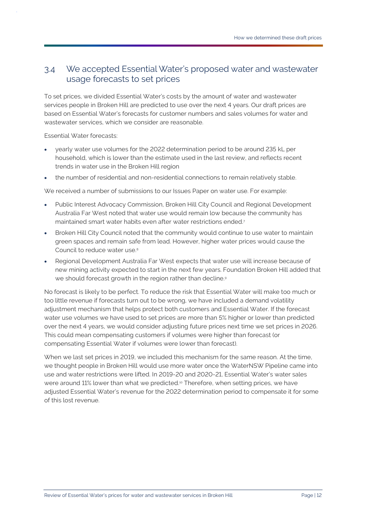### <span id="page-14-0"></span>3.4 We accepted Essential Water's proposed water and wastewater usage forecasts to set prices

To set prices, we divided Essential Water's costs by the amount of water and wastewater services people in Broken Hill are predicted to use over the next 4 years. Our draft prices are based on Essential Water's forecasts for customer numbers and sales volumes for water and wastewater services, which we consider are reasonable.

Essential Water forecasts:

- yearly water use volumes for the 2022 determination period to be around 235 kL per household, which is lower than the estimate used in the last review, and reflects recent trends in water use in the Broken Hill region
- the number of residential and non-residential connections to remain relatively stable.

We received a number of submissions to our Issues Paper on water use. For example:

- Public Interest Advocacy Commission, Broken Hill City Council and Regional Development Australia Far West noted that water use would remain low because the community has maintained smart water habits even after water restrictions ended.<sup>7</sup>
- Broken Hill City Council noted that the community would continue to use water to maintain green spaces and remain safe from lead. However, higher water prices would cause the Council to reduce water use.<sup>8</sup>
- Regional Development Australia Far West expects that water use will increase because of new mining activity expected to start in the next few years. Foundation Broken Hill added that we should forecast growth in the region rather than decline.<sup>9</sup>

No forecast is likely to be perfect. To reduce the risk that Essential Water will make too much or too little revenue if forecasts turn out to be wrong, we have included a demand volatility adjustment mechanism that helps protect both customers and Essential Water. If the forecast water use volumes we have used to set prices are more than 5% higher or lower than predicted over the next 4 years, we would consider adjusting future prices next time we set prices in 2026. This could mean compensating customers if volumes were higher than forecast (or compensating Essential Water if volumes were lower than forecast).

When we last set prices in 2019, we included this mechanism for the same reason. At the time, we thought people in Broken Hill would use more water once the WaterNSW Pipeline came into use and water restrictions were lifted. In 2019-20 and 2020-21, Essential Water's water sales were around 11% lower than what we predicted.<sup>10</sup> Therefore, when setting prices, we have adjusted Essential Water's revenue for the 2022 determination period to compensate it for some of this lost revenue.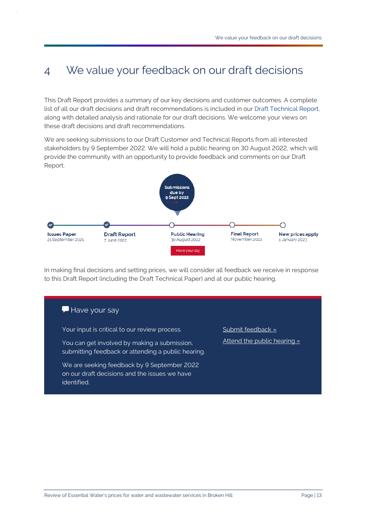## <span id="page-15-0"></span>4 We value your feedback on our draft decisions

This Draft Report provides a summary of our key decisions and customer outcomes. A complete list of all our draft decisions and draft recommendations is included in our [Draft Technical Report,](https://www.ipart.nsw.gov.au/sites/default/files/cm9_documents/Draft-Technical-Report-Review-of-Essential-Waters-prices-for-water-and-wastewater-services-in-Broken-Hill-June-2022.PDF)  along with detailed analysis and rationale for our draft decisions. We welcome your views on these draft decisions and draft recommendations.

We are seeking submissions to our Draft Customer and Technical Reports from all interested stakeholders by 9 September 2022. We will hold a public hearing on 30 August 2022, which will provide the community with an opportunity to provide feedback and comments on our Draft Report.



In making final decisions and setting prices, we will consider all feedback we receive in response to this Draft Report (including the Draft Technical Paper) and at our public hearing.

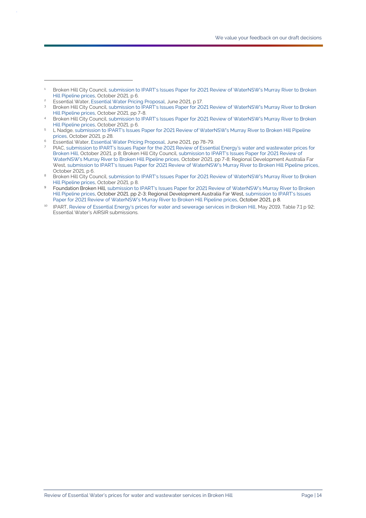Essential Water, [Essential Water Pricing Proposal,](https://www.ipart.nsw.gov.au/sites/default/files/cm9_documents/Pricing-Proposal-by-Essential-Water-June-2021.PDF) June 2021, pp 78-79.

<sup>1</sup> Broken Hill City Council, [submission to IPART's Issues Paper for 2021 Review of WaterNSW's Murray River to Broken](https://www.ipart.nsw.gov.au/sites/default/files/cm9_documents/Online-Submission-Broken-Hill-City-Council-D.-Turley-AM-22-Oct-2021-092624891.PDF)  [Hill Pipeline prices,](https://www.ipart.nsw.gov.au/sites/default/files/cm9_documents/Online-Submission-Broken-Hill-City-Council-D.-Turley-AM-22-Oct-2021-092624891.PDF) October 2021, p 6.

<sup>&</sup>lt;sup>2</sup> Essential Water, [Essential Water Pricing Proposal,](https://www.ipart.nsw.gov.au/sites/default/files/cm9_documents/Pricing-Proposal-by-Essential-Water-June-2021.PDF) June 2021, p 17.<br><sup>3</sup> Prokon Hill City Council, submission to IBABT's Issues Paper for 20

Broken Hill City Council, submission to IPART's Issues Paper for 2021 Review of WaterNSW's Murray River to Broken [Hill Pipeline prices,](https://www.ipart.nsw.gov.au/sites/default/files/cm9_documents/Online-Submission-Broken-Hill-City-Council-D.-Turley-AM-22-Oct-2021-092624891.PDF) October 2021, pp 7-8.

<sup>4</sup> Broken Hill City Council, [submission to IPART's Issues Paper for 2021 Review of WaterNSW's Murray River to Broken](https://www.ipart.nsw.gov.au/sites/default/files/cm9_documents/Online-Submission-Broken-Hill-City-Council-D.-Turley-AM-22-Oct-2021-092624891.PDF)  [Hill Pipeline prices,](https://www.ipart.nsw.gov.au/sites/default/files/cm9_documents/Online-Submission-Broken-Hill-City-Council-D.-Turley-AM-22-Oct-2021-092624891.PDF) October 2021, p 6.

<sup>5</sup> L Nadge, [submission to IPART's Issues Paper for 2021 Review of WaterNSW's Murray River to Broken Hill Pipeline](https://www.ipart.nsw.gov.au/sites/default/files/cm9_documents/Online-Submission-Individual-L.-Nadge-20-Oct-2021-142039991.PDF)  [prices,](https://www.ipart.nsw.gov.au/sites/default/files/cm9_documents/Online-Submission-Individual-L.-Nadge-20-Oct-2021-142039991.PDF) October 2021, p 28.

<sup>7</sup> PIAC, [submission to IPART's Issues Paper for the 2021 Review of Essential Energy's water and wastewater prices for](https://www.ipart.nsw.gov.au/sites/default/files/cm9_documents/Online-Submission-Public-Interest-Advocacy-Centre-%28PIAC%29-D.-McCloskey-27-Oct-2021-133716802.PDF)  [Broken Hill,](https://www.ipart.nsw.gov.au/sites/default/files/cm9_documents/Online-Submission-Public-Interest-Advocacy-Centre-%28PIAC%29-D.-McCloskey-27-Oct-2021-133716802.PDF) October 2021, p 8; Broken Hill City Council, [submission to IPART's Issues Paper for 2021 Review of](https://www.ipart.nsw.gov.au/sites/default/files/cm9_documents/Online-Submission-Broken-Hill-City-Council-D.-Turley-AM-22-Oct-2021-092624891.PDF)  [WaterNSW's Murray River to Broken Hill Pipeline prices,](https://www.ipart.nsw.gov.au/sites/default/files/cm9_documents/Online-Submission-Broken-Hill-City-Council-D.-Turley-AM-22-Oct-2021-092624891.PDF) October 2021, pp 7-8; Regional Development Australia Far West[, submission to IPART's Issues Paper for 2021 Review of WaterNSW's Murray River to Broken Hill Pipeline prices,](https://www.ipart.nsw.gov.au/sites/default/files/cm9_documents/Online-Submission-Regional-Development-Australia-Far-West-M.-Williams-22-Oct-2021-090915922.PDF)  October 2021, p 6.

<sup>8</sup> Broken Hill City Council, submission to IPART's Issues Paper for 2021 Review of WaterNSW's Murray River to Broken [Hill Pipeline prices,](https://www.ipart.nsw.gov.au/sites/default/files/cm9_documents/Online-Submission-Broken-Hill-City-Council-D.-Turley-AM-22-Oct-2021-092624891.PDF) October 2021, p 8.

<sup>9</sup> Foundation Broken Hill, submission to IPART's Issues Paper for 2021 Review of WaterNSW's Murray River to Broken [Hill Pipeline prices,](https://www.ipart.nsw.gov.au/sites/default/files/cm9_documents/Online-Submission-Foundation-Broken-Hill-T.-Nadge-27-Oct-2021-153824291.PDF) October 2021, pp 2-3; Regional Development Australia Far West[, submission to IPART's Issues](https://www.ipart.nsw.gov.au/sites/default/files/cm9_documents/Online-Submission-Regional-Development-Australia-Far-West-M.-Williams-22-Oct-2021-090915922.PDF)  [Paper for 2021 Review of WaterNSW's Murray River to Broken Hill](https://www.ipart.nsw.gov.au/sites/default/files/cm9_documents/Online-Submission-Regional-Development-Australia-Far-West-M.-Williams-22-Oct-2021-090915922.PDF) Pipeline prices, October 2021, p 8.

<sup>&</sup>lt;sup>10</sup> IPART, [Review of Essential Energy's prices for water and sewerage services in Broken Hill,](https://www.ipart.nsw.gov.au/sites/default/files/documents/final-report-review-of-essential-energy%E2%80%99s-prices-for-water-and-sewerage-services-in-broken-hill-may-2019_0.pdf) May 2019, Table 7.1 p 92; Essential Water's AIRSIR submissions.